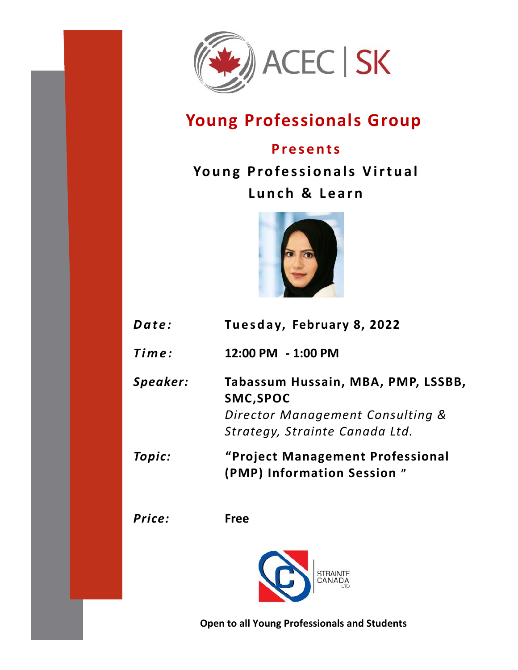

# **Young Professionals Group**

#### **P r e s e n t s**

**Young Professionals Virtual** Lunch & Learn



| Date:    | Tuesday, February 8, 2022                                                                                             |
|----------|-----------------------------------------------------------------------------------------------------------------------|
| Time:    | 12:00 PM - 1:00 PM                                                                                                    |
| Speaker: | Tabassum Hussain, MBA, PMP, LSSBB,<br>SMC, SPOC<br>Director Management Consulting &<br>Strategy, Strainte Canada Ltd. |
| Topic:   | "Project Management Professional<br>(PMP) Information Session"                                                        |
| Price:   | <b>Free</b>                                                                                                           |
|          |                                                                                                                       |

**Open to all Young Professionals and Students**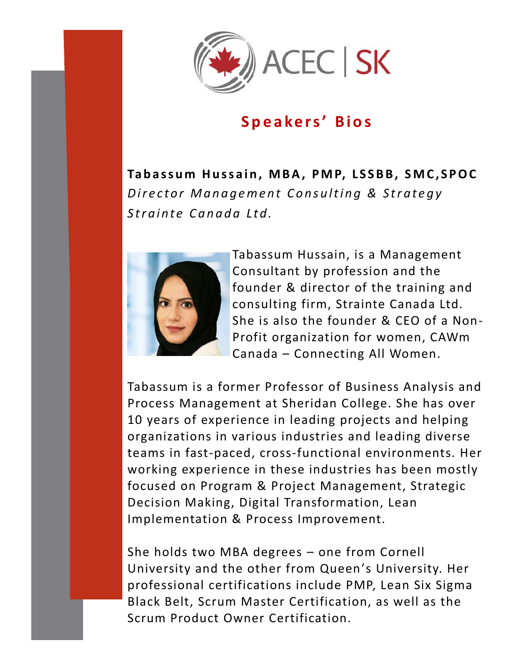

### **S p e a ke r s' B i o s**

Tabassum Hussain, MBA, PMP, LSSBB, SMC, SPOC *Director Management Consulting & Strategy* Strainte Canada Ltd.



Tabassum Hussain, is a Management Consultant by profession and the founder & director of the training and consulting firm, Strainte Canada Ltd. She is also the founder & CEO of a Non-Profit organization for women, CAWm Canada – Connecting All Women.

Tabassum is a former Professor of Business Analysis and Process Management at Sheridan College. She has over 10 years of experience in leading projects and helping organizations in various industries and leading diverse teams in fast-paced, cross-functional environments. Her working experience in these industries has been mostly focused on Program & Project Management, Strategic Decision Making, Digital Transformation, Lean Implementation & Process Improvement.

She holds two MBA degrees – one from Cornell University and the other from Queen's University. Her professional certifications include PMP, Lean Six Sigma Black Belt, Scrum Master Certification, as well as the Scrum Product Owner Certification.